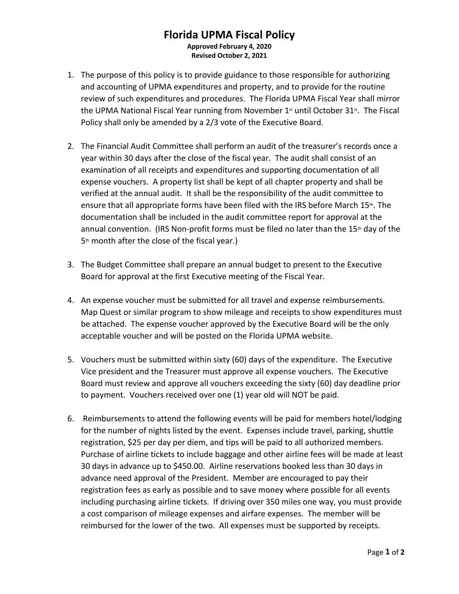## **Florida UPMA Fiscal Policy Approved February 4, 2020**

**Revised October 2, 2021**

- 1. The purpose of this policy is to provide guidance to those responsible for authorizing and accounting of UPMA expenditures and property, and to provide for the routine review of such expenditures and procedures. The Florida UPMA Fiscal Year shall mirror the UPMA National Fiscal Year running from November  $1<sup>st</sup>$  until October 31 $<sup>st</sup>$ . The Fiscal</sup> Policy shall only be amended by a 2/3 vote of the Executive Board.
- 2. The Financial Audit Committee shall perform an audit of the treasurer's records once a year within 30 days after the close of the fiscal year. The audit shall consist of an examination of all receipts and expenditures and supporting documentation of all expense vouchers. A property list shall be kept of all chapter property and shall be verified at the annual audit. It shall be the responsibility of the audit committee to ensure that all appropriate forms have been filed with the IRS before March 15th. The documentation shall be included in the audit committee report for approval at the annual convention. (IRS Non-profit forms must be filed no later than the  $15<sup>th</sup>$  day of the 5<sup>th</sup> month after the close of the fiscal year.)
- 3. The Budget Committee shall prepare an annual budget to present to the Executive Board for approval at the first Executive meeting of the Fiscal Year.
- 4. An expense voucher must be submitted for all travel and expense reimbursements. Map Quest or similar program to show mileage and receipts to show expenditures must be attached. The expense voucher approved by the Executive Board will be the only acceptable voucher and will be posted on the Florida UPMA website.
- 5. Vouchers must be submitted within sixty (60) days of the expenditure. The Executive Vice president and the Treasurer must approve all expense vouchers. The Executive Board must review and approve all vouchers exceeding the sixty (60) day deadline prior to payment. Vouchers received over one (1) year old will NOT be paid.
- 6. Reimbursements to attend the following events will be paid for members hotel/lodging for the number of nights listed by the event. Expenses include travel, parking, shuttle registration, \$25 per day per diem, and tips will be paid to all authorized members. Purchase of airline tickets to include baggage and other airline fees will be made at least 30 days in advance up to \$450.00. Airline reservations booked less than 30 days in advance need approval of the President. Member are encouraged to pay their registration fees as early as possible and to save money where possible for all events including purchasing airline tickets. If driving over 350 miles one way, you must provide a cost comparison of mileage expenses and airfare expenses. The member will be reimbursed for the lower of the two. All expenses must be supported by receipts.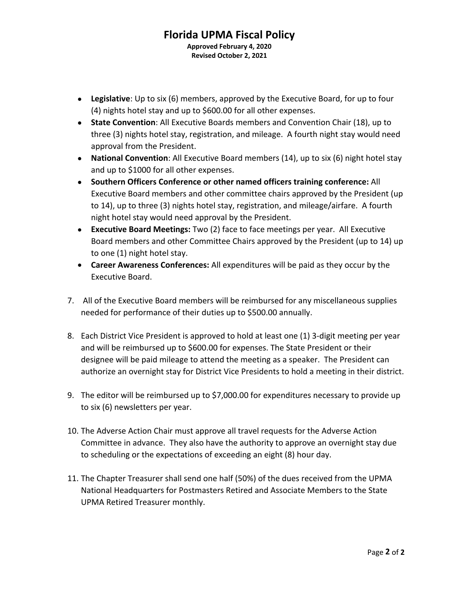## **Florida UPMA Fiscal Policy Approved February 4, 2020 Revised October 2, 2021**

- **Legislative**: Up to six (6) members, approved by the Executive Board, for up to four (4) nights hotel stay and up to \$600.00 for all other expenses.
- **State Convention**: All Executive Boards members and Convention Chair (18), up to three (3) nights hotel stay, registration, and mileage. A fourth night stay would need approval from the President.
- **National Convention**: All Executive Board members (14), up to six (6) night hotel stay and up to \$1000 for all other expenses.
- **Southern Officers Conference or other named officers training conference:** All Executive Board members and other committee chairs approved by the President (up to 14), up to three (3) nights hotel stay, registration, and mileage/airfare. A fourth night hotel stay would need approval by the President.
- **Executive Board Meetings:** Two (2) face to face meetings per year. All Executive Board members and other Committee Chairs approved by the President (up to 14) up to one (1) night hotel stay.
- **Career Awareness Conferences:** All expenditures will be paid as they occur by the
- Executive Board. 7. All of the Executive Board members will be reimbursed for any miscellaneous supplies needed for performance of their duties up to \$500.00 annually.
- 8. Each District Vice President is approved to hold at least one (1) 3-digit meeting per year and will be reimbursed up to \$600.00 for expenses. The State President or their designee will be paid mileage to attend the meeting as a speaker. The President can authorize an overnight stay for District Vice Presidents to hold a meeting in their district.
- 9. The editor will be reimbursed up to \$7,000.00 for expenditures necessary to provide up to six (6) newsletters per year.
- 10. The Adverse Action Chair must approve all travel requests for the Adverse Action Committee in advance. They also have the authority to approve an overnight stay due to scheduling or the expectations of exceeding an eight (8) hour day.
- 11. The Chapter Treasurer shall send one half (50%) of the dues received from the UPMA National Headquarters for Postmasters Retired and Associate Members to the State UPMA Retired Treasurer monthly.